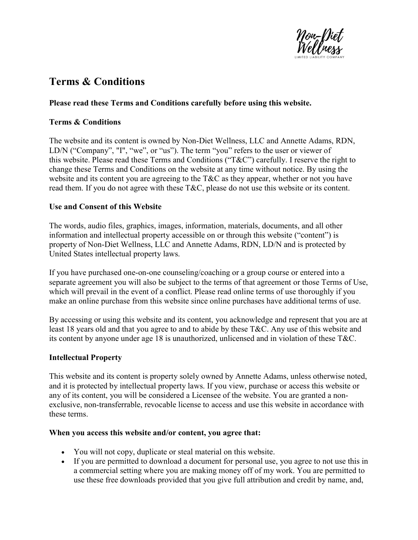

# Terms & Conditions

## Please read these Terms and Conditions carefully before using this website.

#### Terms & Conditions

The website and its content is owned by Non-Diet Wellness, LLC and Annette Adams, RDN, LD/N ("Company", "I", "we", or "us"). The term "you" refers to the user or viewer of this website. Please read these Terms and Conditions ("T&C") carefully. I reserve the right to change these Terms and Conditions on the website at any time without notice. By using the website and its content you are agreeing to the T&C as they appear, whether or not you have read them. If you do not agree with these T&C, please do not use this website or its content.

## Use and Consent of this Website

The words, audio files, graphics, images, information, materials, documents, and all other information and intellectual property accessible on or through this website ("content") is property of Non-Diet Wellness, LLC and Annette Adams, RDN, LD/N and is protected by United States intellectual property laws.

If you have purchased one-on-one counseling/coaching or a group course or entered into a separate agreement you will also be subject to the terms of that agreement or those Terms of Use, which will prevail in the event of a conflict. Please read online terms of use thoroughly if you make an online purchase from this website since online purchases have additional terms of use.

By accessing or using this website and its content, you acknowledge and represent that you are at least 18 years old and that you agree to and to abide by these T&C. Any use of this website and its content by anyone under age 18 is unauthorized, unlicensed and in violation of these T&C.

# Intellectual Property

This website and its content is property solely owned by Annette Adams, unless otherwise noted, and it is protected by intellectual property laws. If you view, purchase or access this website or any of its content, you will be considered a Licensee of the website. You are granted a nonexclusive, non-transferrable, revocable license to access and use this website in accordance with these terms.

#### When you access this website and/or content, you agree that:

- You will not copy, duplicate or steal material on this website.
- If you are permitted to download a document for personal use, you agree to not use this in a commercial setting where you are making money off of my work. You are permitted to use these free downloads provided that you give full attribution and credit by name, and,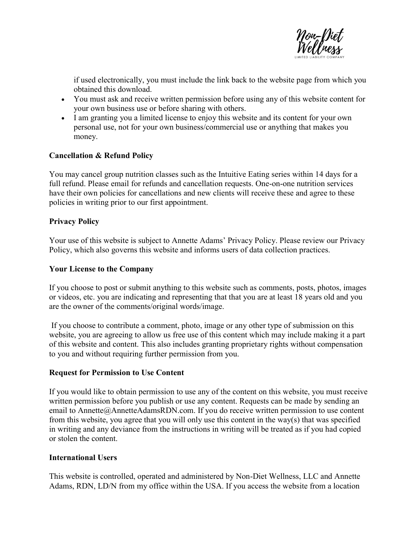

if used electronically, you must include the link back to the website page from which you obtained this download.

- You must ask and receive written permission before using any of this website content for your own business use or before sharing with others.
- I am granting you a limited license to enjoy this website and its content for your own personal use, not for your own business/commercial use or anything that makes you money.

## Cancellation & Refund Policy

You may cancel group nutrition classes such as the Intuitive Eating series within 14 days for a full refund. Please email for refunds and cancellation requests. One-on-one nutrition services have their own policies for cancellations and new clients will receive these and agree to these policies in writing prior to our first appointment.

## Privacy Policy

Your use of this website is subject to Annette Adams' Privacy Policy. Please review our Privacy Policy, which also governs this website and informs users of data collection practices.

#### Your License to the Company

If you choose to post or submit anything to this website such as comments, posts, photos, images or videos, etc. you are indicating and representing that that you are at least 18 years old and you are the owner of the comments/original words/image.

 If you choose to contribute a comment, photo, image or any other type of submission on this website, you are agreeing to allow us free use of this content which may include making it a part of this website and content. This also includes granting proprietary rights without compensation to you and without requiring further permission from you.

#### Request for Permission to Use Content

If you would like to obtain permission to use any of the content on this website, you must receive written permission before you publish or use any content. Requests can be made by sending an email to Annette@AnnetteAdamsRDN.com. If you do receive written permission to use content from this website, you agree that you will only use this content in the way(s) that was specified in writing and any deviance from the instructions in writing will be treated as if you had copied or stolen the content.

#### International Users

This website is controlled, operated and administered by Non-Diet Wellness, LLC and Annette Adams, RDN, LD/N from my office within the USA. If you access the website from a location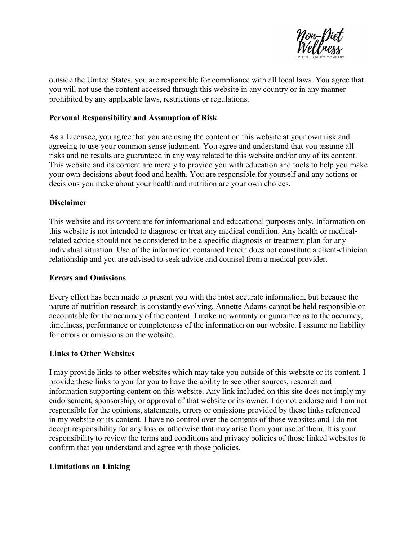

outside the United States, you are responsible for compliance with all local laws. You agree that you will not use the content accessed through this website in any country or in any manner prohibited by any applicable laws, restrictions or regulations.

#### Personal Responsibility and Assumption of Risk

As a Licensee, you agree that you are using the content on this website at your own risk and agreeing to use your common sense judgment. You agree and understand that you assume all risks and no results are guaranteed in any way related to this website and/or any of its content. This website and its content are merely to provide you with education and tools to help you make your own decisions about food and health. You are responsible for yourself and any actions or decisions you make about your health and nutrition are your own choices.

## Disclaimer

This website and its content are for informational and educational purposes only. Information on this website is not intended to diagnose or treat any medical condition. Any health or medicalrelated advice should not be considered to be a specific diagnosis or treatment plan for any individual situation. Use of the information contained herein does not constitute a client-clinician relationship and you are advised to seek advice and counsel from a medical provider.

#### Errors and Omissions

Every effort has been made to present you with the most accurate information, but because the nature of nutrition research is constantly evolving, Annette Adams cannot be held responsible or accountable for the accuracy of the content. I make no warranty or guarantee as to the accuracy, timeliness, performance or completeness of the information on our website. I assume no liability for errors or omissions on the website.

#### Links to Other Websites

I may provide links to other websites which may take you outside of this website or its content. I provide these links to you for you to have the ability to see other sources, research and information supporting content on this website. Any link included on this site does not imply my endorsement, sponsorship, or approval of that website or its owner. I do not endorse and I am not responsible for the opinions, statements, errors or omissions provided by these links referenced in my website or its content. I have no control over the contents of those websites and I do not accept responsibility for any loss or otherwise that may arise from your use of them. It is your responsibility to review the terms and conditions and privacy policies of those linked websites to confirm that you understand and agree with those policies.

#### Limitations on Linking